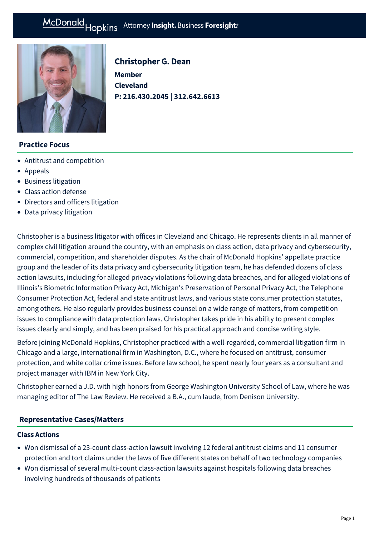# McDonald Hopkins Attorney Insight. Business Foresight:

**Member Cleveland** 

Christopher G. Dean

**P: [216.430.2045 | 312.642.6613](tel:216.430.2045%20%7C%20312.642.6613)**



## **Practice Focus**

- [Antitrust and competition](https://mcdonaldhopkins.com/Expertise/Litigation/Antitrust-and-competition)
- [Appeals](https://mcdonaldhopkins.com/Expertise/Litigation/Appeals)
- [Business litigation](https://mcdonaldhopkins.com/Expertise/Litigation/Business-litigation)
- [Class action defense](https://mcdonaldhopkins.com/Expertise/Litigation/Class-action-defense)
- [Directors and officers litigation](https://mcdonaldhopkins.com/Expertise/Litigation/Directors-and-officers-litigation)
- [Data privacy litigation](https://mcdonaldhopkins.com/Expertise/Data-privacy-and-cybersecurity/Data-privacy-litigation)

Christopher is a business litigator with offices in Cleveland and Chicago. He represents clients in all manner of complex civil litigation around the country, with an emphasis on class action, data privacy and cybersecurity, commercial, competition, and shareholder disputes. As the chair of McDonald Hopkins' appellate practice group and the leader of its data privacy and cybersecurity litigation team, he has defended dozens of class action lawsuits, including for alleged privacy violations following data breaches, and for alleged violations of Illinois's Biometric Information Privacy Act, Michigan's Preservation of Personal Privacy Act, the Telephone Consumer Protection Act, federal and state antitrust laws, and various state consumer protection statutes, among others. He also regularly provides business counsel on a wide range of matters, from competition issues to compliance with data protection laws. Christopher takes pride in his ability to present complex issues clearly and simply, and has been praised for his practical approach and concise writing style.

Before joining McDonald Hopkins, Christopher practiced with a well-regarded, commercial litigation firm in Chicago and a large, international firm in Washington, D.C., where he focused on antitrust, consumer protection, and white collar crime issues. Before law school, he spent nearly four years as a consultant and project manager with IBM in New York City.

Christopher earned a J.D. with high honors from George Washington University School of Law, where he was managing editor of The Law Review. He received a B.A., cum laude, from Denison University.

#### **[Representative Cases/Matters](#page-0-0)**

#### <span id="page-0-0"></span>Class Actions

- Won dismissal of a 23-count class-action lawsuit involving 12 federal antitrust claims and 11 consumer protection and tort claims under the laws of five different states on behalf of two technology companies
- Won dismissal of several multi-count class-action lawsuits against hospitals following data breaches involving hundreds of thousands of patients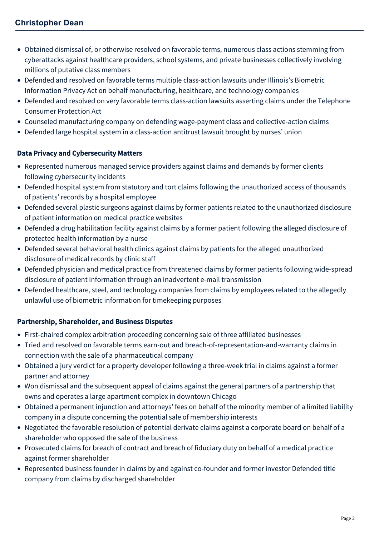- Obtained dismissal of, or otherwise resolved on favorable terms, numerous class actions stemming from cyberattacks against healthcare providers, school systems, and private businesses collectively involving millions of putative class members
- Defended and resolved on favorable terms multiple class-action lawsuits under Illinois's Biometric Information Privacy Act on behalf manufacturing, healthcare, and technology companies
- Defended and resolved on very favorable terms class-action lawsuits asserting claims under the Telephone Consumer Protection Act
- Counseled manufacturing company on defending wage-payment class and collective-action claims
- Defended large hospital system in a class-action antitrust lawsuit brought by nurses' union

## Data Privacy and Cybersecurity Matters

- Represented numerous managed service providers against claims and demands by former clients following cybersecurity incidents
- Defended hospital system from statutory and tort claims following the unauthorized access of thousands of patients' records by a hospital employee
- Defended several plastic surgeons against claims by former patients related to the unauthorized disclosure of patient information on medical practice websites
- Defended a drug habilitation facility against claims by a former patient following the alleged disclosure of protected health information by a nurse
- Defended several behavioral health clinics against claims by patients for the alleged unauthorized disclosure of medical records by clinic staff
- Defended physician and medical practice from threatened claims by former patients following wide-spread disclosure of patient information through an inadvertent e-mail transmission
- Defended healthcare, steel, and technology companies from claims by employees related to the allegedly unlawful use of biometric information for timekeeping purposes

## Partnership, Shareholder, and Business Disputes

- First-chaired complex arbitration proceeding concerning sale of three affiliated businesses
- Tried and resolved on favorable terms earn-out and breach-of-representation-and-warranty claims in connection with the sale of a pharmaceutical company
- Obtained a jury verdict for a property developer following a three-week trial in claims against a former partner and attorney
- Won dismissal and the subsequent appeal of claims against the general partners of a partnership that owns and operates a large apartment complex in downtown Chicago
- Obtained a permanent injunction and attorneys' fees on behalf of the minority member of a limited liability company in a dispute concerning the potential sale of membership interests
- Negotiated the favorable resolution of potential derivate claims against a corporate board on behalf of a shareholder who opposed the sale of the business
- Prosecuted claims for breach of contract and breach of fiduciary duty on behalf of a medical practice against former shareholder
- Represented business founder in claims by and against co-founder and former investor Defended title company from claims by discharged shareholder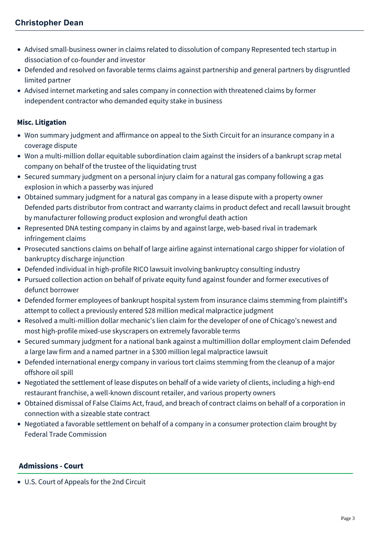- Advised small-business owner in claims related to dissolution of company Represented tech startup in dissociation of co-founder and investor
- Defended and resolved on favorable terms claims against partnership and general partners by disgruntled limited partner
- Advised internet marketing and sales company in connection with threatened claims by former independent contractor who demanded equity stake in business

## Misc. Litigation

- Won summary judgment and affirmance on appeal to the Sixth Circuit for an insurance company in a coverage dispute
- Won a multi-million dollar equitable subordination claim against the insiders of a bankrupt scrap metal company on behalf of the trustee of the liquidating trust
- Secured summary judgment on a personal injury claim for a natural gas company following a gas explosion in which a passerby was injured
- Obtained summary judgment for a natural gas company in a lease dispute with a property owner Defended parts distributor from contract and warranty claims in product defect and recall lawsuit brought by manufacturer following product explosion and wrongful death action
- Represented DNA testing company in claims by and against large, web-based rival in trademark infringement claims
- Prosecuted sanctions claims on behalf of large airline against international cargo shipper for violation of bankruptcy discharge injunction
- Defended individual in high-profile RICO lawsuit involving bankruptcy consulting industry
- Pursued collection action on behalf of private equity fund against founder and former executives of defunct borrower
- Defended former employees of bankrupt hospital system from insurance claims stemming from plaintiff's attempt to collect a previously entered \$28 million medical malpractice judgment
- Resolved a multi-million dollar mechanic's lien claim for the developer of one of Chicago's newest and most high-profile mixed-use skyscrapers on extremely favorable terms
- Secured summary judgment for a national bank against a multimillion dollar employment claim Defended a large law firm and a named partner in a \$300 million legal malpractice lawsuit
- Defended international energy company in various tort claims stemming from the cleanup of a major offshore oil spill
- Negotiated the settlement of lease disputes on behalf of a wide variety of clients, including a high-end restaurant franchise, a well-known discount retailer, and various property owners
- Obtained dismissal of False Claims Act, fraud, and breach of contract claims on behalf of a corporation in connection with a sizeable state contract
- Negotiated a favorable settlement on behalf of a company in a consumer protection claim brought by Federal Trade Commission

## **Admissions - Court**

U.S. Court of Appeals for the 2nd Circuit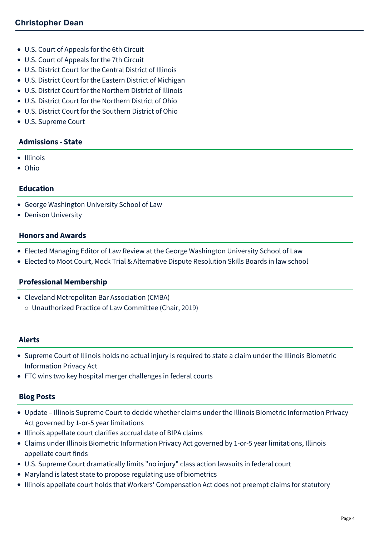- U.S. Court of Appeals for the 6th Circuit
- U.S. Court of Appeals for the 7th Circuit
- U.S. District Court for the Central District of Illinois
- U.S. District Court for the Eastern District of Michigan
- U.S. District Court for the Northern District of Illinois
- U.S. District Court for the Northern District of Ohio
- U.S. District Court for the Southern District of Ohio
- U.S. Supreme Court

#### **Admissions - State**

- Illinois
- Ohio

#### **Education**

- George Washington University School of Law
- Denison University

#### **Honors and Awards**

- Elected Managing Editor of Law Review at the George Washington University School of Law
- Elected to Moot Court, Mock Trial & Alternative Dispute Resolution Skills Boards in law school

#### **Professional Membership**

Cleveland Metropolitan Bar Association (CMBA) Unauthorized Practice of Law Committee (Chair, 2019)

#### **Alerts**

- [Supreme Court of Illinois holds no actual injury is required to state a claim under the Illinois Biometric](https://mcdonaldhopkins.com/Insights/January-2019/No-actual-injury-is-required-to-state-claim-under) Information Privacy Act
- [FTC wins two key hospital merger challenges in federal courts](https://mcdonaldhopkins.com/Insights/November-2016/FTC-wins-two-key-hospital-merger-challenges-in-fed)

#### **Blog Posts**

- [Update Illinois Supreme Court to decide whether claims under the Illinois Biometric Information Privacy](https://mcdonaldhopkins.com/Insights/February-2022/Update-Illinois-Supreme-Court-to-decide-whether) Act governed by 1-or-5 year limitations
- [Illinois appellate court clarifies accrual date of BIPA claims](https://mcdonaldhopkins.com/Insights/December-2021/Court-clarifies-accrual-date-BIPA-claims)
- [Claims under Illinois Biometric Information Privacy Act governed by 1-or-5 year limitations, Illinois](https://mcdonaldhopkins.com/Insights/September-2021/Claims-under-Illinois-Biometric-Information-Privac) appellate court finds
- [U.S. Supreme Court dramatically limits "no injury" class action lawsuits in federal court](https://mcdonaldhopkins.com/Insights/June-2021/US-Supreme-Court-dramatically-limits-no-injury-cla)
- [Maryland is latest state to propose regulating use of biometrics](https://mcdonaldhopkins.com/Insights/March-2021/Maryland-is-latest-state-to-propose-regulating-use)
- [Illinois appellate court holds that Workers' Compensation Act does not preempt claims for statutory](https://mcdonaldhopkins.com/Insights/September-2020/Illinois-appellate-court-holds-that-Workers-Compen)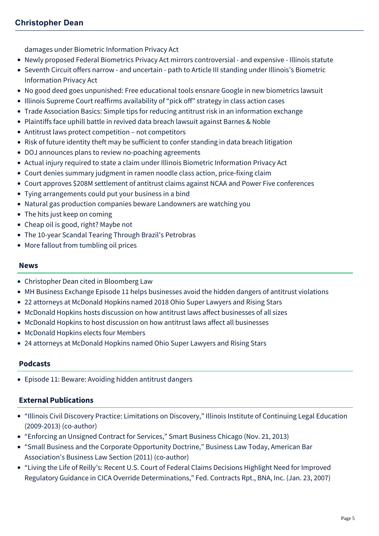[damages under Biometric Information Privacy Act](https://mcdonaldhopkins.com/Insights/September-2020/Illinois-appellate-court-holds-that-Workers-Compen)

- [Newly proposed Federal Biometrics Privacy Act mirrors controversial and expensive Illinois statute](https://mcdonaldhopkins.com/Insights/August-2020/Newly-proposed-federal-biometrics-privacy-act-mirr)
- [Seventh Circuit offers narrow and uncertain path to Article III standing under Illinois's Biometric](https://mcdonaldhopkins.com/Insights/May-2020/Seventh-Circuit-offers-narrow-and-uncertain-path-t) Information Privacy Act
- [No good deed goes unpunished: Free educational tools ensnare Google in new biometrics lawsuit](https://mcdonaldhopkins.com/Insights/April-2020/No-good-deed-goes-unpunished-free-educational-tool)
- [Illinois Supreme Court reaffirms availability of "pick off" strategy in class action cases](https://mcdonaldhopkins.com/Insights/February-2020/Illinois-Supreme-Court-reaffirms-availability-of-p)
- [Trade Association Basics: Simple tips for reducing antitrust risk in an information exchange](https://mcdonaldhopkins.com/Insights/September-2018/Trade-Association-Basics-Simple-tips-for-reducing)
- [Plaintiffs face uphill battle in revived data breach lawsuit against Barnes & Noble](https://mcdonaldhopkins.com/Insights/April-2018/Plaintiffs-face-uphill-battle-in-revived-data-brea)
- [Antitrust laws protect competition not competitors](https://mcdonaldhopkins.com/Insights/April-2018/Antitrust-laws-protect-competition-not-competitors)
- [Risk of future identity theft may be sufficient to confer standing in data breach litigation](https://mcdonaldhopkins.com/Insights/March-2018/Risk-of-future-identity-theft-may-be-sufficient-to)
- [DOJ announces plans to review no-poaching agreements](https://mcdonaldhopkins.com/Insights/January-2018/DOJ-announces-plans-to-review-no-poaching-agreemen)
- [Actual injury required to state a claim under Illinois Biometric Information Privacy Act](https://mcdonaldhopkins.com/Insights/January-2018/Actual-injury-required-to-state-a-claim-under-the)
- [Court denies summary judgment in ramen noodle class action, price-fixing claim](https://mcdonaldhopkins.com/Insights/January-2018/Court-denies-summary-judgment-in-ramen-noodle-clas)
- [Court approves \\$208M settlement of antitrust claims against NCAA and Power Five conferences](https://mcdonaldhopkins.com/Insights/December-2017/Court-approves-208M-settlement-against-NCAA-and-Po)
- [Tying arrangements could put your business in a bind](https://mcdonaldhopkins.com/Insights/November-2017/Tying-arrangements-could-put-your-business-in-a-bi)
- [Natural gas production companies beware Landowners are watching you](https://mcdonaldhopkins.com/Insights/December-2015/Natural-gas-production-companies-beware-Landowners)
- [The hits just keep on coming](https://mcdonaldhopkins.com/Insights/October-2015/The-hits-just-keep-on-coming)
- [Cheap oil is good, right? Maybe not](https://mcdonaldhopkins.com/Insights/August-2015/Cheap-oil-is-good,-right-Maybe-not)
- [The 10-year Scandal Tearing Through Brazil's Petrobras](https://mcdonaldhopkins.com/Insights/March-2015/The-10-year-Scandal-Tearing-Through-Brazil-s-Petro)
- [More fallout from tumbling oil prices](https://mcdonaldhopkins.com/Insights/January-2015/More-fallout-from-tumbling-oil-prices)

#### **News**

- [Christopher Dean cited in Bloomberg Law](https://mcdonaldhopkins.com/Insights/November-2020/Christopher-Dean-Cited-in-Bloomberg-Law)
- [MH Business Exchange Episode 11 helps businesses avoid the hidden dangers of antitrust violations](https://mcdonaldhopkins.com/Insights/April-2018/MH-Business-Exchange-Episode-11-helps-businesses-a)
- [22 attorneys at McDonald Hopkins named 2018 Ohio Super Lawyers and Rising Stars](https://mcdonaldhopkins.com/Insights/December-2017/22-attorneys-at-McDonald-Hopkins-named-2018-Ohio-S)
- [McDonald Hopkins hosts discussion on how antitrust laws affect businesses of all sizes](https://mcdonaldhopkins.com/Insights/November-2017/McDonald-Hopkins-hosts-discussion-on-how-antitrust)
- [McDonald Hopkins to host discussion on how antitrust laws affect all businesses](https://mcdonaldhopkins.com/Insights/October-2017/McDonald-Hopkins-to-host-discussion-on-how-antitru)
- [McDonald Hopkins elects four Members](https://mcdonaldhopkins.com/Insights/October-2016/McDonald-Hopkins-elects-four-Members)
- [24 attorneys at McDonald Hopkins named Ohio Super Lawyers and Rising Stars](https://mcdonaldhopkins.com/Insights/December-2015/24-attorneys-at-McDonald-Hopkins-named-Ohio-Super)

## **Podcasts**

[Episode 11: Beware: Avoiding hidden antitrust dangers](https://mcdonaldhopkins.com/Insights/April-2018/Episode-11-Beware-Avoiding-hidden-antitrust-danger)

# **External Publications**

- "Illinois Civil Discovery Practice: Limitations on Discovery," Illinois Institute of Continuing Legal Education (2009-2013) (co-author)
- "Enforcing an Unsigned Contract for Services," Smart Business Chicago (Nov. 21, 2013)
- "Small Business and the Corporate Opportunity Doctrine," Business Law Today, American Bar Association's Business Law Section (2011) (co-author)
- "Living the Life of Reilly's: Recent U.S. Court of Federal Claims Decisions Highlight Need for Improved Regulatory Guidance in CICA Override Determinations," Fed. Contracts Rpt., BNA, Inc. (Jan. 23, 2007)